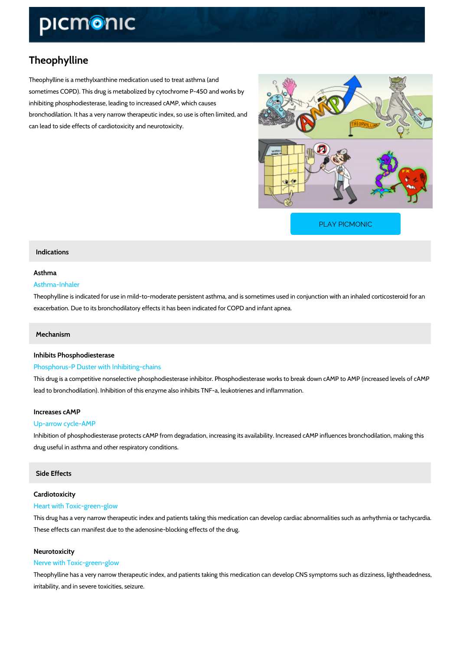# Theophylline

Theophylline is a methylxanthine medication used to treat asthma (and sometimes COPD). This drug is metabolized by cytochrome P-450 and works by inhibiting phosphodiesterase, leading to increased cAMP, which causes bronchodilation. It has a very narrow therapeutic index, so use is often limited, and can lead to side effects of cardiotoxicity and neurotoxicity.

[PLAY PICMONIC](https://www.picmonic.com/learn/theophylline_1688?utm_source=downloadable_content&utm_medium=distributedcontent&utm_campaign=pathways_pdf&utm_content=Theophylline&utm_ad_group=leads&utm_market=all)

## Indications

## Asthma

## Asthma-Inhaler

Theophylline is indicated for use in mild-to-moderate persistent asthma, and is sometimes use exacerbation. Due to its bronchodilatory effects it has been indicated for COPD and infant ap

# Mechanism

## Inhibits Phosphodiesterase

# Phosphorus-P Duster with Inhibiting-chains

This drug is a competitive nonselective phosphodiesterase inhibitor. Phosphodiesterase works lead to bronchodilation). Inhibition of this enzyme also inhibits TNF-a, leukotrienes and inflam

## Increases cAMP

#### Up-arrow cycle-AMP

Inhibition of phosphodiesterase protects cAMP from degradation, increasing its availability. In drug useful in asthma and other respiratory conditions.

## Side Effects

## Cardiotoxicity

## Heart with Toxic-green-glow

This drug has a very narrow therapeutic index and patients taking this medication can develop These effects can manifest due to the adenosine-blocking effects of the drug.

#### Neurotoxicity

#### Nerve with Toxic-green-glow

Theophylline has a very narrow therapeutic index, and patients taking this medication can dev irritability, and in severe toxicities, seizure.